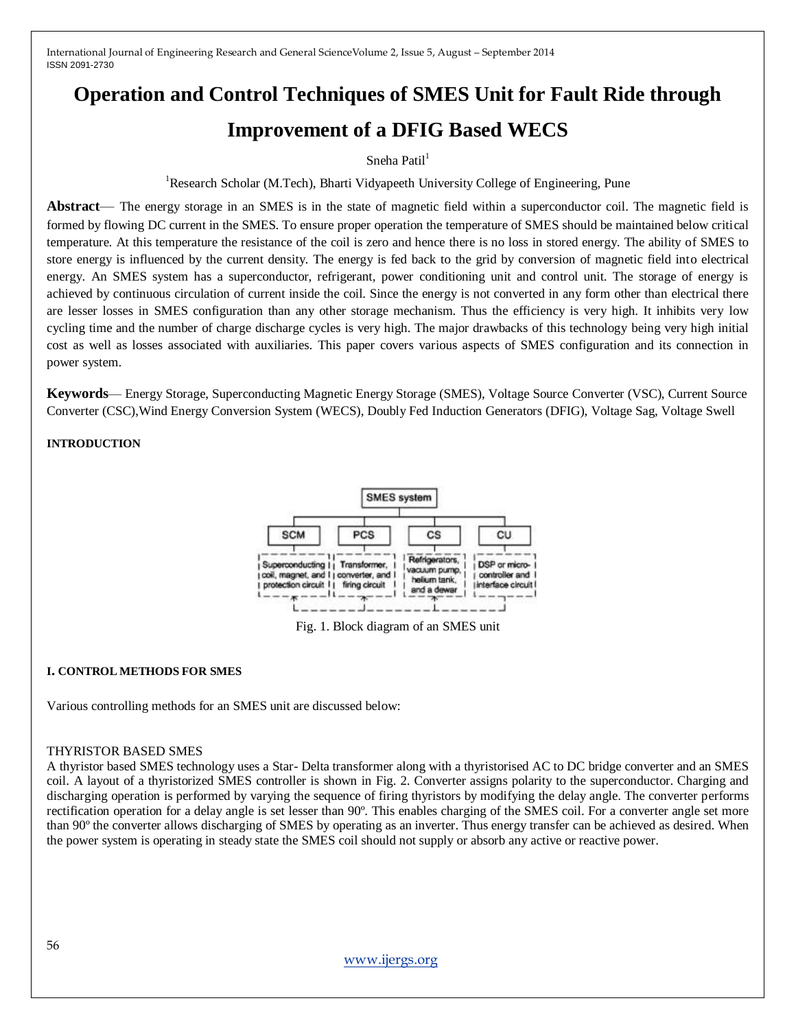# **Operation and Control Techniques of SMES Unit for Fault Ride through Improvement of a DFIG Based WECS**

Sneha Patil $1$ 

<sup>1</sup>Research Scholar (M.Tech), Bharti Vidyapeeth University College of Engineering, Pune

**Abstract**— The energy storage in an SMES is in the state of magnetic field within a superconductor coil. The magnetic field is formed by flowing DC current in the SMES. To ensure proper operation the temperature of SMES should be maintained below critical temperature. At this temperature the resistance of the coil is zero and hence there is no loss in stored energy. The ability of SMES to store energy is influenced by the current density. The energy is fed back to the grid by conversion of magnetic field into electrical energy. An SMES system has a superconductor, refrigerant, power conditioning unit and control unit. The storage of energy is achieved by continuous circulation of current inside the coil. Since the energy is not converted in any form other than electrical there are lesser losses in SMES configuration than any other storage mechanism. Thus the efficiency is very high. It inhibits very low cycling time and the number of charge discharge cycles is very high. The major drawbacks of this technology being very high initial cost as well as losses associated with auxiliaries. This paper covers various aspects of SMES configuration and its connection in power system.

**Keywords**— Energy Storage, Superconducting Magnetic Energy Storage (SMES), Voltage Source Converter (VSC), Current Source Converter (CSC),Wind Energy Conversion System (WECS), Doubly Fed Induction Generators (DFIG), Voltage Sag, Voltage Swell

## **INTRODUCTION**



Fig. 1. Block diagram of an SMES unit

## **I. CONTROL METHODS FOR SMES**

Various controlling methods for an SMES unit are discussed below:

## THYRISTOR BASED SMES

A thyristor based SMES technology uses a Star- Delta transformer along with a thyristorised AC to DC bridge converter and an SMES coil. A layout of a thyristorized SMES controller is shown in Fig. 2. Converter assigns polarity to the superconductor. Charging and discharging operation is performed by varying the sequence of firing thyristors by modifying the delay angle. The converter performs rectification operation for a delay angle is set lesser than 90º. This enables charging of the SMES coil. For a converter angle set more than 90º the converter allows discharging of SMES by operating as an inverter. Thus energy transfer can be achieved as desired. When the power system is operating in steady state the SMES coil should not supply or absorb any active or reactive power.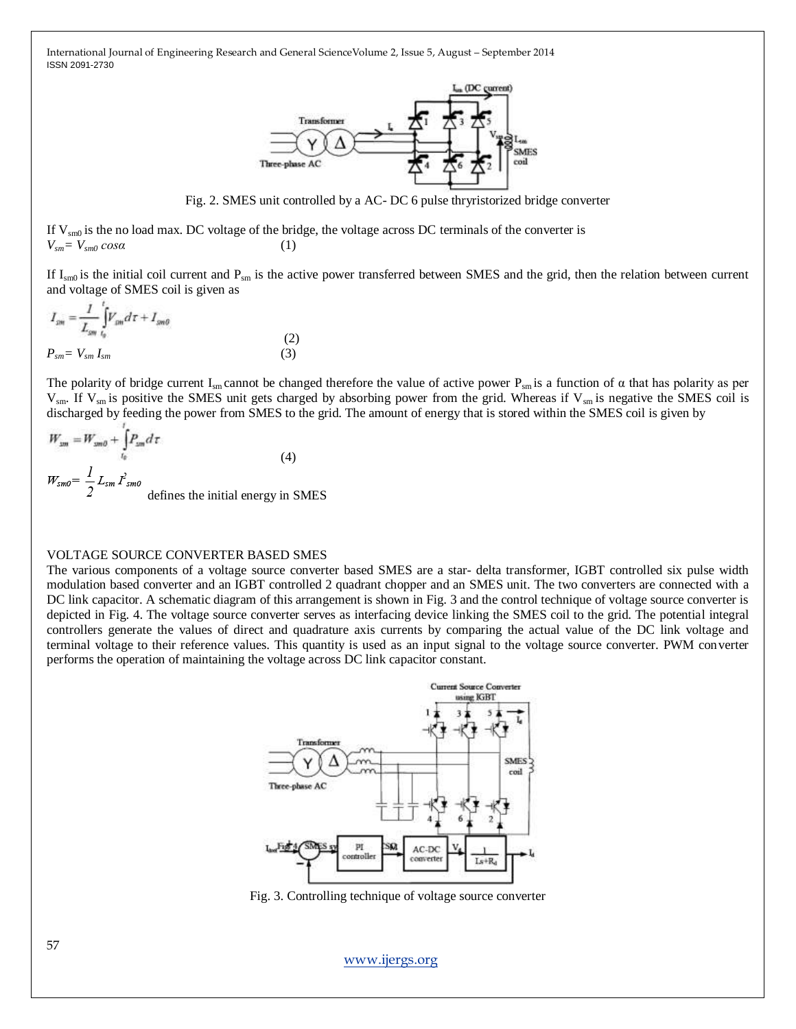

Fig. 2. SMES unit controlled by a AC- DC 6 pulse thryristorized bridge converter

If  $V_{\text{sm0}}$  is the no load max. DC voltage of the bridge, the voltage across DC terminals of the converter is  $V_{\textit{sm}} = V_{\textit{sm0}} \cos \alpha$  (1)

If  $I_{\rm sm0}$  is the initial coil current and  $P_{\rm sm}$  is the active power transferred between SMES and the grid, then the relation between current and voltage of SMES coil is given as

$$
I_{\rm sm} = \frac{I}{L_{\rm sm}} \int_{I_{\rm sp}} V_{\rm sm} d\tau + I_{\rm sm0}
$$
  
(2)  

$$
P_{\rm sm} = V_{\rm sm} I_{\rm sm}
$$
 (3)

The polarity of bridge current I<sub>sm</sub> cannot be changed therefore the value of active power P<sub>sm</sub> is a function of  $\alpha$  that has polarity as per  $V_{\rm sm}$ . If  $V_{\rm sm}$  is positive the SMES unit gets charged by absorbing power from the grid. Whereas if  $V_{\rm sm}$  is negative the SMES coil is discharged by feeding the power from SMES to the grid. The amount of energy that is stored within the SMES coil is given by

$$
W_{\text{nm}} = W_{\text{nm}\theta} + \int_{t_0} P_{\text{nm}} d\tau
$$
\n
$$
W_{\text{nm}\theta} = \frac{1}{2} L_{\text{sm}} I_{\text{sm}\theta}^2
$$
\n
$$
\text{defines the initial energy in SMES}
$$

#### VOLTAGE SOURCE CONVERTER BASED SMES

The various components of a voltage source converter based SMES are a star- delta transformer, IGBT controlled six pulse width modulation based converter and an IGBT controlled 2 quadrant chopper and an SMES unit. The two converters are connected with a DC link capacitor. A schematic diagram of this arrangement is shown in Fig. 3 and the control technique of voltage source converter is depicted in Fig. 4. The voltage source converter serves as interfacing device linking the SMES coil to the grid. The potential integral controllers generate the values of direct and quadrature axis currents by comparing the actual value of the DC link voltage and terminal voltage to their reference values. This quantity is used as an input signal to the voltage source converter. PWM converter performs the operation of maintaining the voltage across DC link capacitor constant.



Fig. 3. Controlling technique of voltage source converter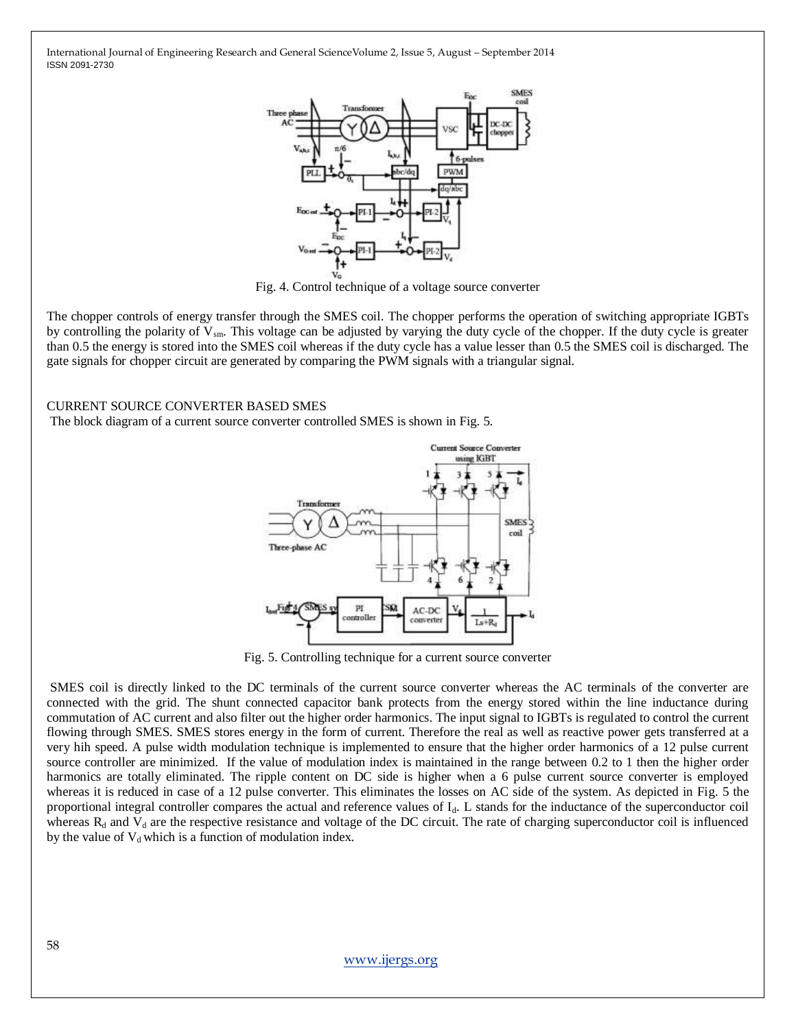

Fig. 4. Control technique of a voltage source converter

The chopper controls of energy transfer through the SMES coil. The chopper performs the operation of switching appropriate IGBTs by controlling the polarity of  $V_{\rm sm}$ . This voltage can be adjusted by varying the duty cycle of the chopper. If the duty cycle is greater than 0.5 the energy is stored into the SMES coil whereas if the duty cycle has a value lesser than 0.5 the SMES coil is discharged. The gate signals for chopper circuit are generated by comparing the PWM signals with a triangular signal.

#### CURRENT SOURCE CONVERTER BASED SMES

The block diagram of a current source converter controlled SMES is shown in Fig. 5.



Fig. 5. Controlling technique for a current source converter

SMES coil is directly linked to the DC terminals of the current source converter whereas the AC terminals of the converter are connected with the grid. The shunt connected capacitor bank protects from the energy stored within the line inductance during commutation of AC current and also filter out the higher order harmonics. The input signal to IGBTs is regulated to control the current flowing through SMES. SMES stores energy in the form of current. Therefore the real as well as reactive power gets transferred at a very hih speed. A pulse width modulation technique is implemented to ensure that the higher order harmonics of a 12 pulse current source controller are minimized. If the value of modulation index is maintained in the range between 0.2 to 1 then the higher order harmonics are totally eliminated. The ripple content on DC side is higher when a 6 pulse current source converter is employed whereas it is reduced in case of a 12 pulse converter. This eliminates the losses on AC side of the system. As depicted in Fig. 5 the proportional integral controller compares the actual and reference values of Id. L stands for the inductance of the superconductor coil whereas  $R_d$  and  $V_d$  are the respective resistance and voltage of the DC circuit. The rate of charging superconductor coil is influenced by the value of  $V_d$  which is a function of modulation index.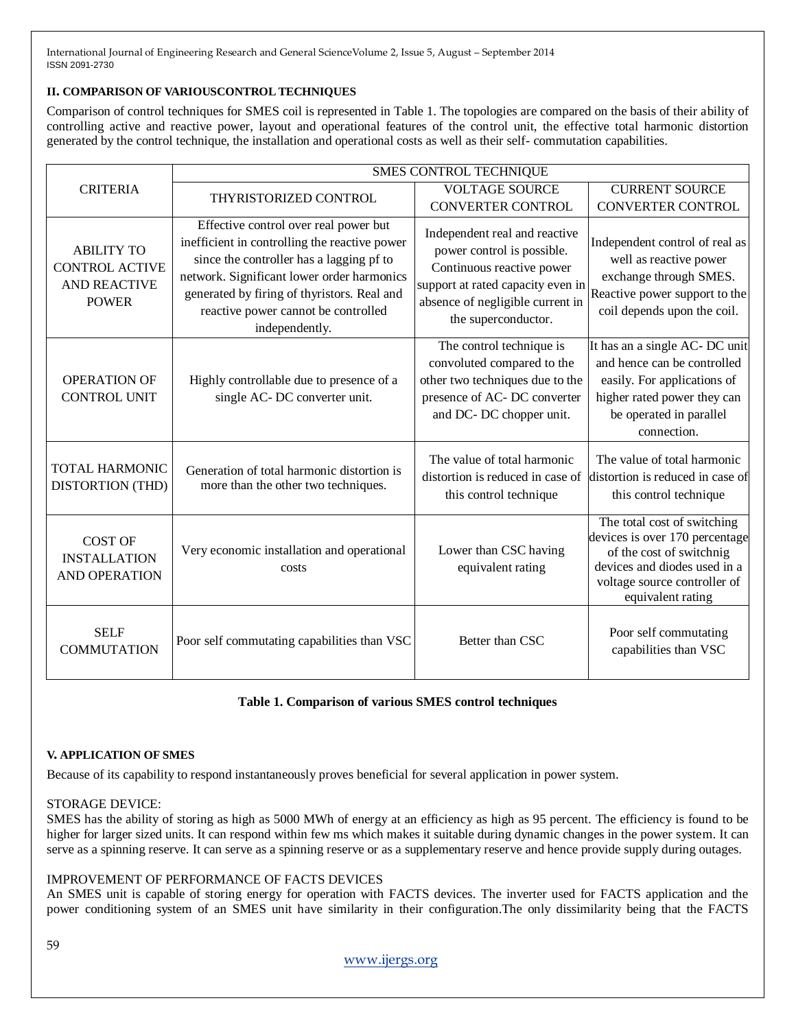## **II. COMPARISON OF VARIOUSCONTROL TECHNIQUES**

Comparison of control techniques for SMES coil is represented in Table 1. The topologies are compared on the basis of their ability of controlling active and reactive power, layout and operational features of the control unit, the effective total harmonic distortion generated by the control technique, the installation and operational costs as well as their self- commutation capabilities.

| <b>CRITERIA</b>                                                                   | SMES CONTROL TECHNIQUE                                                                                                                                                                                                                                                                   |                                                                                                                                                                                                                      |                                                                                                                                                                                |
|-----------------------------------------------------------------------------------|------------------------------------------------------------------------------------------------------------------------------------------------------------------------------------------------------------------------------------------------------------------------------------------|----------------------------------------------------------------------------------------------------------------------------------------------------------------------------------------------------------------------|--------------------------------------------------------------------------------------------------------------------------------------------------------------------------------|
|                                                                                   | THYRISTORIZED CONTROL                                                                                                                                                                                                                                                                    | <b>VOLTAGE SOURCE</b>                                                                                                                                                                                                | <b>CURRENT SOURCE</b>                                                                                                                                                          |
| <b>ABILITY TO</b><br><b>CONTROL ACTIVE</b><br><b>AND REACTIVE</b><br><b>POWER</b> | Effective control over real power but<br>inefficient in controlling the reactive power<br>since the controller has a lagging pf to<br>network. Significant lower order harmonics<br>generated by firing of thyristors. Real and<br>reactive power cannot be controlled<br>independently. | <b>CONVERTER CONTROL</b><br>Independent real and reactive<br>power control is possible.<br>Continuous reactive power<br>support at rated capacity even in<br>absence of negligible current in<br>the superconductor. | <b>CONVERTER CONTROL</b><br>Independent control of real as<br>well as reactive power<br>exchange through SMES.<br>Reactive power support to the<br>coil depends upon the coil. |
| <b>OPERATION OF</b><br><b>CONTROL UNIT</b>                                        | Highly controllable due to presence of a<br>single AC-DC converter unit.                                                                                                                                                                                                                 | The control technique is<br>convoluted compared to the<br>other two techniques due to the<br>presence of AC-DC converter<br>and DC- DC chopper unit.                                                                 | It has an a single AC- DC unit<br>and hence can be controlled<br>easily. For applications of<br>higher rated power they can<br>be operated in parallel<br>connection.          |
| <b>TOTAL HARMONIC</b><br><b>DISTORTION (THD)</b>                                  | Generation of total harmonic distortion is<br>more than the other two techniques.                                                                                                                                                                                                        | The value of total harmonic<br>distortion is reduced in case of<br>this control technique                                                                                                                            | The value of total harmonic<br>distortion is reduced in case of<br>this control technique                                                                                      |
| <b>COST OF</b><br><b>INSTALLATION</b><br><b>AND OPERATION</b>                     | Very economic installation and operational<br>costs                                                                                                                                                                                                                                      | Lower than CSC having<br>equivalent rating                                                                                                                                                                           | The total cost of switching<br>devices is over 170 percentage<br>of the cost of switchnig<br>devices and diodes used in a<br>voltage source controller of<br>equivalent rating |
| <b>SELF</b><br><b>COMMUTATION</b>                                                 | Poor self commutating capabilities than VSC                                                                                                                                                                                                                                              | Better than CSC                                                                                                                                                                                                      | Poor self commutating<br>capabilities than VSC                                                                                                                                 |

## **Table 1. Comparison of various SMES control techniques**

## **V. APPLICATION OF SMES**

Because of its capability to respond instantaneously proves beneficial for several application in power system.

## STORAGE DEVICE:

SMES has the ability of storing as high as 5000 MWh of energy at an efficiency as high as 95 percent. The efficiency is found to be higher for larger sized units. It can respond within few ms which makes it suitable during dynamic changes in the power system. It can serve as a spinning reserve. It can serve as a spinning reserve or as a supplementary reserve and hence provide supply during outages.

## IMPROVEMENT OF PERFORMANCE OF FACTS DEVICES

An SMES unit is capable of storing energy for operation with FACTS devices. The inverter used for FACTS application and the power conditioning system of an SMES unit have similarity in their configuration.The only dissimilarity being that the FACTS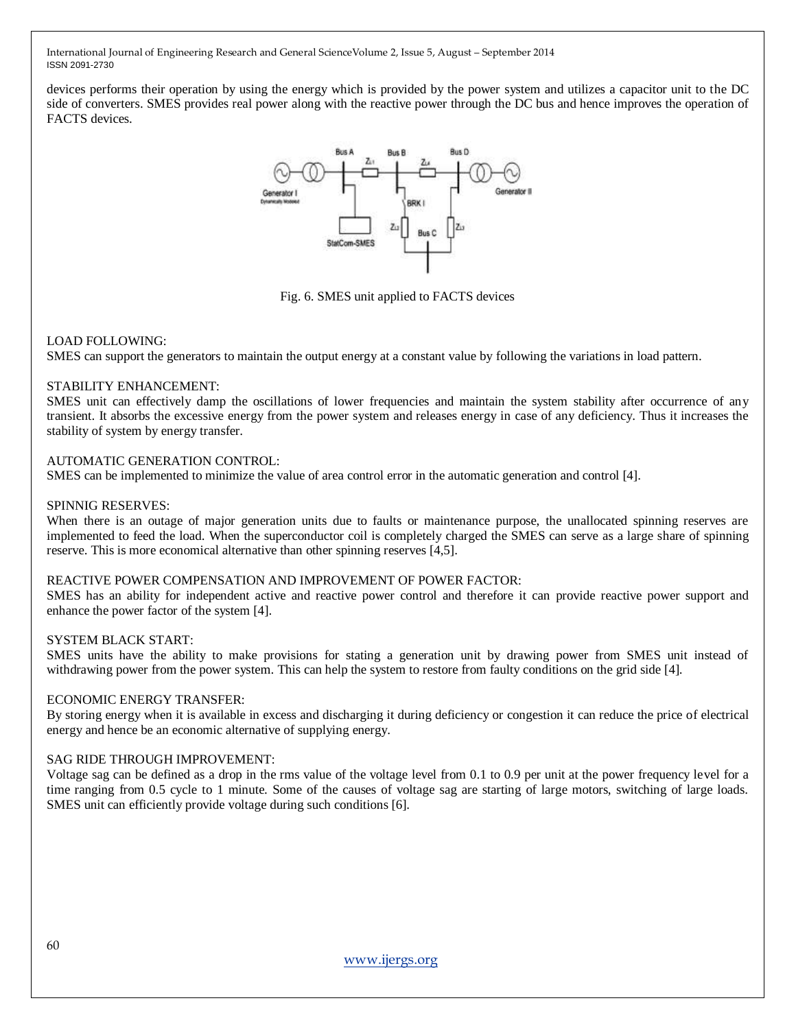devices performs their operation by using the energy which is provided by the power system and utilizes a capacitor unit to the DC side of converters. SMES provides real power along with the reactive power through the DC bus and hence improves the operation of FACTS devices.



Fig. 6. SMES unit applied to FACTS devices

#### LOAD FOLLOWING:

SMES can support the generators to maintain the output energy at a constant value by following the variations in load pattern.

#### STABILITY ENHANCEMENT:

SMES unit can effectively damp the oscillations of lower frequencies and maintain the system stability after occurrence of any transient. It absorbs the excessive energy from the power system and releases energy in case of any deficiency. Thus it increases the stability of system by energy transfer.

#### AUTOMATIC GENERATION CONTROL:

SMES can be implemented to minimize the value of area control error in the automatic generation and control [4].

#### SPINNIG RESERVES:

When there is an outage of major generation units due to faults or maintenance purpose, the unallocated spinning reserves are implemented to feed the load. When the superconductor coil is completely charged the SMES can serve as a large share of spinning reserve. This is more economical alternative than other spinning reserves [4,5].

## REACTIVE POWER COMPENSATION AND IMPROVEMENT OF POWER FACTOR:

SMES has an ability for independent active and reactive power control and therefore it can provide reactive power support and enhance the power factor of the system [4].

#### SYSTEM BLACK START:

SMES units have the ability to make provisions for stating a generation unit by drawing power from SMES unit instead of withdrawing power from the power system. This can help the system to restore from faulty conditions on the grid side [4].

## ECONOMIC ENERGY TRANSFER:

By storing energy when it is available in excess and discharging it during deficiency or congestion it can reduce the price of electrical energy and hence be an economic alternative of supplying energy.

#### SAG RIDE THROUGH IMPROVEMENT:

Voltage sag can be defined as a drop in the rms value of the voltage level from 0.1 to 0.9 per unit at the power frequency level for a time ranging from 0.5 cycle to 1 minute. Some of the causes of voltage sag are starting of large motors, switching of large loads. SMES unit can efficiently provide voltage during such conditions [6].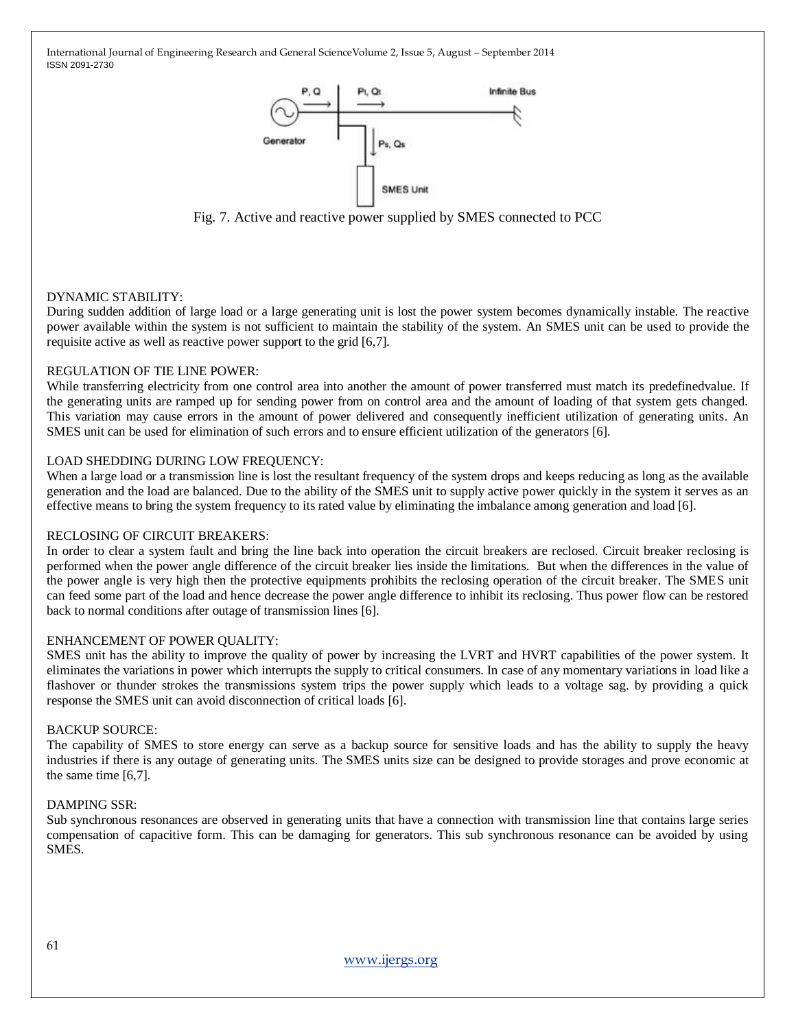

Fig. 7. Active and reactive power supplied by SMES connected to PCC

## DYNAMIC STABILITY:

During sudden addition of large load or a large generating unit is lost the power system becomes dynamically instable. The reactive power available within the system is not sufficient to maintain the stability of the system. An SMES unit can be used to provide the requisite active as well as reactive power support to the grid [6,7].

## REGULATION OF TIE LINE POWER:

While transferring electricity from one control area into another the amount of power transferred must match its predefinedvalue. If the generating units are ramped up for sending power from on control area and the amount of loading of that system gets changed. This variation may cause errors in the amount of power delivered and consequently inefficient utilization of generating units. An SMES unit can be used for elimination of such errors and to ensure efficient utilization of the generators [6].

## LOAD SHEDDING DURING LOW FREQUENCY:

When a large load or a transmission line is lost the resultant frequency of the system drops and keeps reducing as long as the available generation and the load are balanced. Due to the ability of the SMES unit to supply active power quickly in the system it serves as an effective means to bring the system frequency to its rated value by eliminating the imbalance among generation and load [6].

## RECLOSING OF CIRCUIT BREAKERS:

In order to clear a system fault and bring the line back into operation the circuit breakers are reclosed. Circuit breaker reclosing is performed when the power angle difference of the circuit breaker lies inside the limitations. But when the differences in the value of the power angle is very high then the protective equipments prohibits the reclosing operation of the circuit breaker. The SMES unit can feed some part of the load and hence decrease the power angle difference to inhibit its reclosing. Thus power flow can be restored back to normal conditions after outage of transmission lines [6].

## ENHANCEMENT OF POWER QUALITY:

SMES unit has the ability to improve the quality of power by increasing the LVRT and HVRT capabilities of the power system. It eliminates the variations in power which interrupts the supply to critical consumers. In case of any momentary variations in load like a flashover or thunder strokes the transmissions system trips the power supply which leads to a voltage sag. by providing a quick response the SMES unit can avoid disconnection of critical loads [6].

## BACKUP SOURCE:

The capability of SMES to store energy can serve as a backup source for sensitive loads and has the ability to supply the heavy industries if there is any outage of generating units. The SMES units size can be designed to provide storages and prove economic at the same time [6,7].

## DAMPING SSR:

Sub synchronous resonances are observed in generating units that have a connection with transmission line that contains large series compensation of capacitive form. This can be damaging for generators. This sub synchronous resonance can be avoided by using SMES.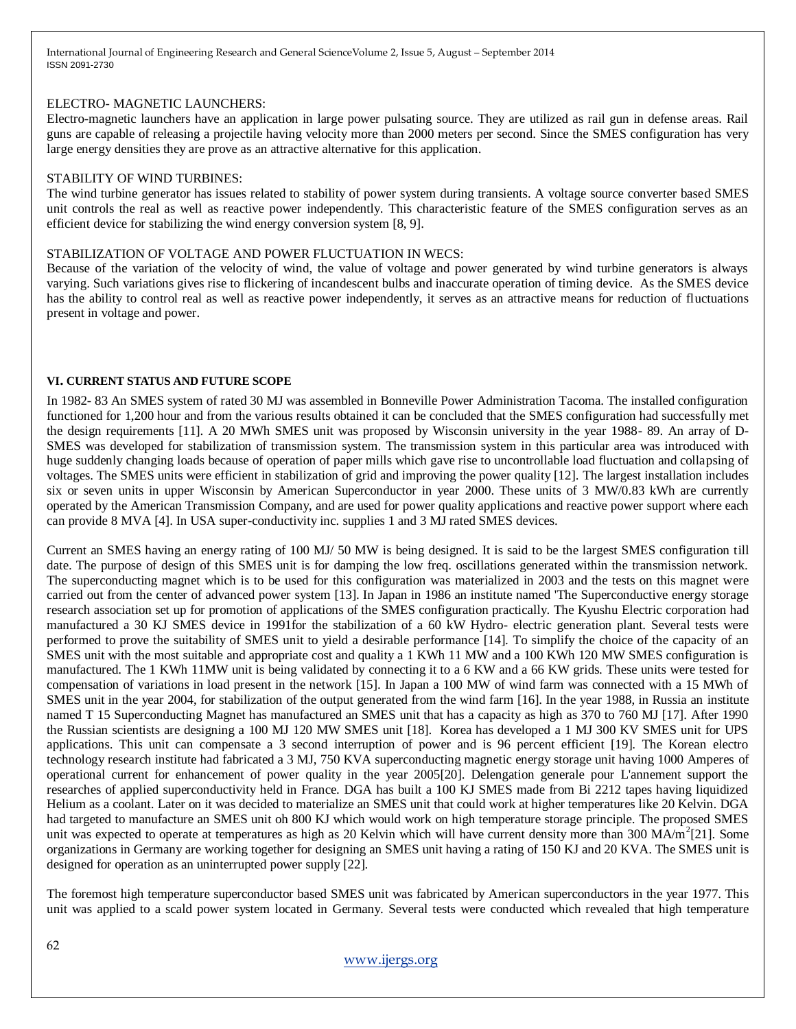#### ELECTRO- MAGNETIC LAUNCHERS:

Electro-magnetic launchers have an application in large power pulsating source. They are utilized as rail gun in defense areas. Rail guns are capable of releasing a projectile having velocity more than 2000 meters per second. Since the SMES configuration has very large energy densities they are prove as an attractive alternative for this application.

#### STABILITY OF WIND TURBINES:

The wind turbine generator has issues related to stability of power system during transients. A voltage source converter based SMES unit controls the real as well as reactive power independently. This characteristic feature of the SMES configuration serves as an efficient device for stabilizing the wind energy conversion system [8, 9].

#### STABILIZATION OF VOLTAGE AND POWER FLUCTUATION IN WECS:

Because of the variation of the velocity of wind, the value of voltage and power generated by wind turbine generators is always varying. Such variations gives rise to flickering of incandescent bulbs and inaccurate operation of timing device. As the SMES device has the ability to control real as well as reactive power independently, it serves as an attractive means for reduction of fluctuations present in voltage and power.

#### **VI. CURRENT STATUS AND FUTURE SCOPE**

In 1982- 83 An SMES system of rated 30 MJ was assembled in Bonneville Power Administration Tacoma. The installed configuration functioned for 1,200 hour and from the various results obtained it can be concluded that the SMES configuration had successfully met the design requirements [11]. A 20 MWh SMES unit was proposed by Wisconsin university in the year 1988- 89. An array of D-SMES was developed for stabilization of transmission system. The transmission system in this particular area was introduced with huge suddenly changing loads because of operation of paper mills which gave rise to uncontrollable load fluctuation and collapsing of voltages. The SMES units were efficient in stabilization of grid and improving the power quality [12]. The largest installation includes six or seven units in upper Wisconsin by American Superconductor in year 2000. These units of 3 MW/0.83 kWh are currently operated by the American Transmission Company, and are used for power quality applications and reactive power support where each can provide 8 MVA [4]. In USA super-conductivity inc. supplies 1 and 3 MJ rated SMES devices.

Current an SMES having an energy rating of 100 MJ/ 50 MW is being designed. It is said to be the largest SMES configuration till date. The purpose of design of this SMES unit is for damping the low freq. oscillations generated within the transmission network. The superconducting magnet which is to be used for this configuration was materialized in 2003 and the tests on this magnet were carried out from the center of advanced power system [13]. In Japan in 1986 an institute named 'The Superconductive energy storage research association set up for promotion of applications of the SMES configuration practically. The Kyushu Electric corporation had manufactured a 30 KJ SMES device in 1991for the stabilization of a 60 kW Hydro- electric generation plant. Several tests were performed to prove the suitability of SMES unit to yield a desirable performance [14]. To simplify the choice of the capacity of an SMES unit with the most suitable and appropriate cost and quality a 1 KWh 11 MW and a 100 KWh 120 MW SMES configuration is manufactured. The 1 KWh 11MW unit is being validated by connecting it to a 6 KW and a 66 KW grids. These units were tested for compensation of variations in load present in the network [15]. In Japan a 100 MW of wind farm was connected with a 15 MWh of SMES unit in the year 2004, for stabilization of the output generated from the wind farm [16]. In the year 1988, in Russia an institute named T 15 Superconducting Magnet has manufactured an SMES unit that has a capacity as high as 370 to 760 MJ [17]. After 1990 the Russian scientists are designing a 100 MJ 120 MW SMES unit [18]. Korea has developed a 1 MJ 300 KV SMES unit for UPS applications. This unit can compensate a 3 second interruption of power and is 96 percent efficient [19]. The Korean electro technology research institute had fabricated a 3 MJ, 750 KVA superconducting magnetic energy storage unit having 1000 Amperes of operational current for enhancement of power quality in the year 2005[20]. Delengation generale pour L'annement support the researches of applied superconductivity held in France. DGA has built a 100 KJ SMES made from Bi 2212 tapes having liquidized Helium as a coolant. Later on it was decided to materialize an SMES unit that could work at higher temperatures like 20 Kelvin. DGA had targeted to manufacture an SMES unit oh 800 KJ which would work on high temperature storage principle. The proposed SMES unit was expected to operate at temperatures as high as 20 Kelvin which will have current density more than 300  $\text{M}\text{A/m}^2$ [21]. Some organizations in Germany are working together for designing an SMES unit having a rating of 150 KJ and 20 KVA. The SMES unit is designed for operation as an uninterrupted power supply [22].

The foremost high temperature superconductor based SMES unit was fabricated by American superconductors in the year 1977. This unit was applied to a scald power system located in Germany. Several tests were conducted which revealed that high temperature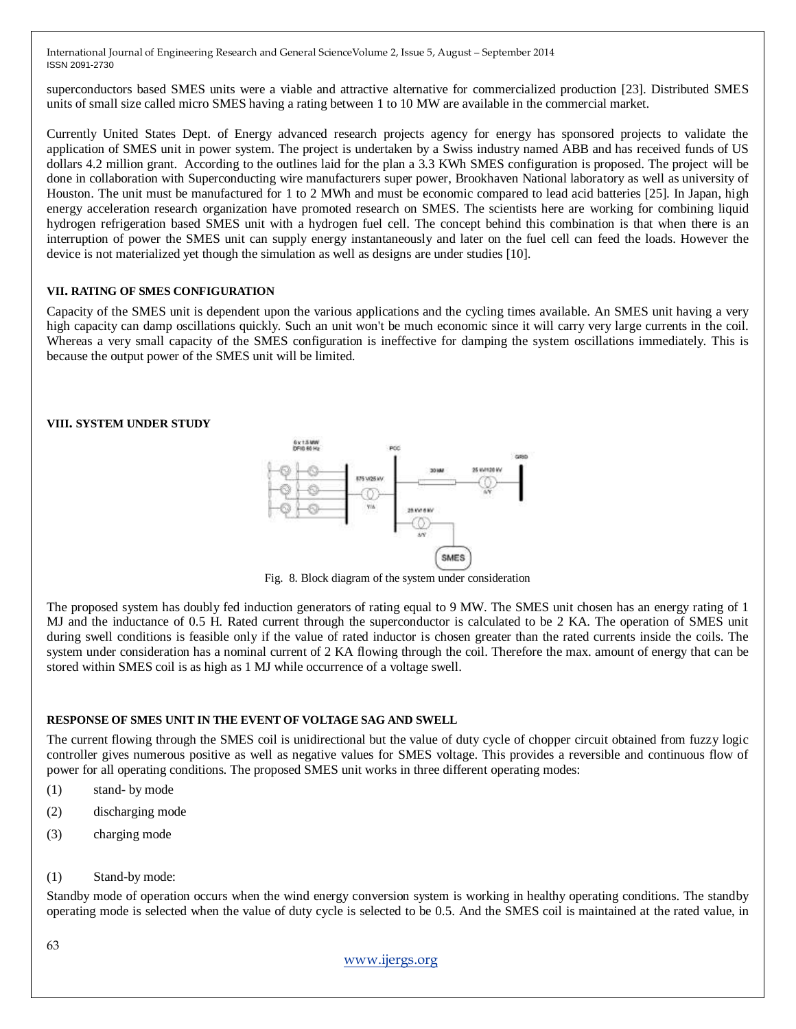superconductors based SMES units were a viable and attractive alternative for commercialized production [23]. Distributed SMES units of small size called micro SMES having a rating between 1 to 10 MW are available in the commercial market.

Currently United States Dept. of Energy advanced research projects agency for energy has sponsored projects to validate the application of SMES unit in power system. The project is undertaken by a Swiss industry named ABB and has received funds of US dollars 4.2 million grant. According to the outlines laid for the plan a 3.3 KWh SMES configuration is proposed. The project will be done in collaboration with Superconducting wire manufacturers super power, Brookhaven National laboratory as well as university of Houston. The unit must be manufactured for 1 to 2 MWh and must be economic compared to lead acid batteries [25]. In Japan, high energy acceleration research organization have promoted research on SMES. The scientists here are working for combining liquid hydrogen refrigeration based SMES unit with a hydrogen fuel cell. The concept behind this combination is that when there is an interruption of power the SMES unit can supply energy instantaneously and later on the fuel cell can feed the loads. However the device is not materialized yet though the simulation as well as designs are under studies [10].

#### **VII. RATING OF SMES CONFIGURATION**

Capacity of the SMES unit is dependent upon the various applications and the cycling times available. An SMES unit having a very high capacity can damp oscillations quickly. Such an unit won't be much economic since it will carry very large currents in the coil. Whereas a very small capacity of the SMES configuration is ineffective for damping the system oscillations immediately. This is because the output power of the SMES unit will be limited.

#### **VIII. SYSTEM UNDER STUDY**



Fig. 8. Block diagram of the system under consideration

The proposed system has doubly fed induction generators of rating equal to 9 MW. The SMES unit chosen has an energy rating of 1 MJ and the inductance of 0.5 H. Rated current through the superconductor is calculated to be 2 KA. The operation of SMES unit during swell conditions is feasible only if the value of rated inductor is chosen greater than the rated currents inside the coils. The system under consideration has a nominal current of 2 KA flowing through the coil. Therefore the max. amount of energy that can be stored within SMES coil is as high as 1 MJ while occurrence of a voltage swell.

#### **RESPONSE OF SMES UNIT IN THE EVENT OF VOLTAGE SAG AND SWELL**

The current flowing through the SMES coil is unidirectional but the value of duty cycle of chopper circuit obtained from fuzzy logic controller gives numerous positive as well as negative values for SMES voltage. This provides a reversible and continuous flow of power for all operating conditions. The proposed SMES unit works in three different operating modes:

- (1) stand- by mode
- (2) discharging mode
- (3) charging mode
- (1) Stand-by mode:

Standby mode of operation occurs when the wind energy conversion system is working in healthy operating conditions. The standby operating mode is selected when the value of duty cycle is selected to be 0.5. And the SMES coil is maintained at the rated value, in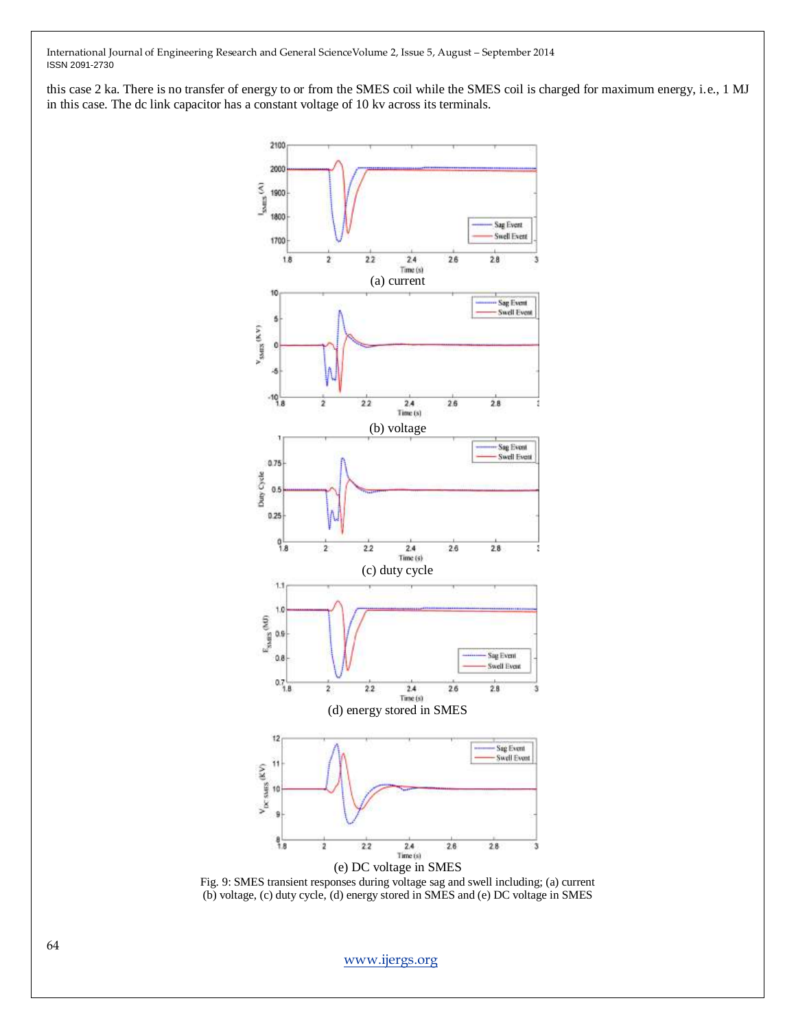this case 2 ka. There is no transfer of energy to or from the SMES coil while the SMES coil is charged for maximum energy, i.e., 1 MJ in this case. The dc link capacitor has a constant voltage of 10 kv across its terminals.



Fig. 9: SMES transient responses during voltage sag and swell including; (a) current (b) voltage, (c) duty cycle, (d) energy stored in SMES and (e) DC voltage in SMES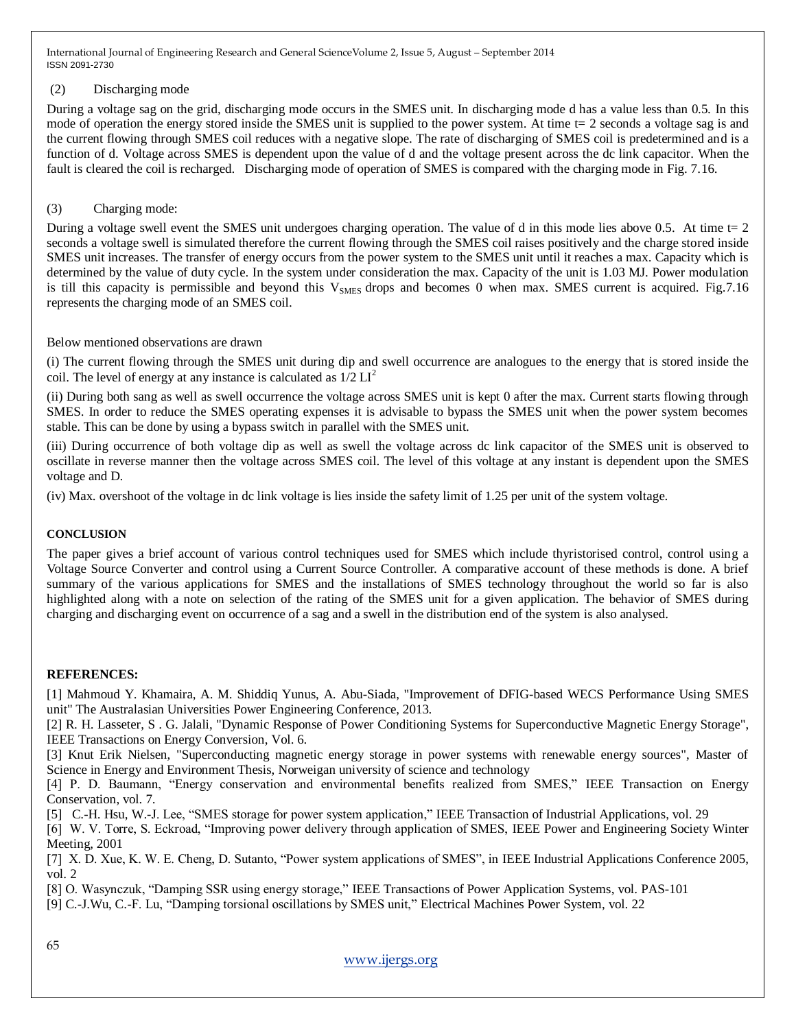## (2) Discharging mode

During a voltage sag on the grid, discharging mode occurs in the SMES unit. In discharging mode d has a value less than 0.5. In this mode of operation the energy stored inside the SMES unit is supplied to the power system. At time t= 2 seconds a voltage sag is and the current flowing through SMES coil reduces with a negative slope. The rate of discharging of SMES coil is predetermined and is a function of d. Voltage across SMES is dependent upon the value of d and the voltage present across the dc link capacitor. When the fault is cleared the coil is recharged. Discharging mode of operation of SMES is compared with the charging mode in Fig. 7.16.

## (3) Charging mode:

During a voltage swell event the SMES unit undergoes charging operation. The value of d in this mode lies above 0.5. At time  $t=2$ seconds a voltage swell is simulated therefore the current flowing through the SMES coil raises positively and the charge stored inside SMES unit increases. The transfer of energy occurs from the power system to the SMES unit until it reaches a max. Capacity which is determined by the value of duty cycle. In the system under consideration the max. Capacity of the unit is 1.03 MJ. Power modulation is till this capacity is permissible and beyond this  $V_{\text{SMES}}$  drops and becomes 0 when max. SMES current is acquired. Fig.7.16 represents the charging mode of an SMES coil.

Below mentioned observations are drawn

(i) The current flowing through the SMES unit during dip and swell occurrence are analogues to the energy that is stored inside the coil. The level of energy at any instance is calculated as  $1/2 \text{ LI}^2$ 

(ii) During both sang as well as swell occurrence the voltage across SMES unit is kept 0 after the max. Current starts flowing through SMES. In order to reduce the SMES operating expenses it is advisable to bypass the SMES unit when the power system becomes stable. This can be done by using a bypass switch in parallel with the SMES unit.

(iii) During occurrence of both voltage dip as well as swell the voltage across dc link capacitor of the SMES unit is observed to oscillate in reverse manner then the voltage across SMES coil. The level of this voltage at any instant is dependent upon the SMES voltage and D.

(iv) Max. overshoot of the voltage in dc link voltage is lies inside the safety limit of 1.25 per unit of the system voltage.

## **CONCLUSION**

The paper gives a brief account of various control techniques used for SMES which include thyristorised control, control using a Voltage Source Converter and control using a Current Source Controller. A comparative account of these methods is done. A brief summary of the various applications for SMES and the installations of SMES technology throughout the world so far is also highlighted along with a note on selection of the rating of the SMES unit for a given application. The behavior of SMES during charging and discharging event on occurrence of a sag and a swell in the distribution end of the system is also analysed.

## **REFERENCES:**

[1] Mahmoud Y. Khamaira, A. M. Shiddiq Yunus, A. Abu-Siada, "Improvement of DFIG-based WECS Performance Using SMES unit" The Australasian Universities Power Engineering Conference, 2013.

[2] R. H. Lasseter, S . G. Jalali, "Dynamic Response of Power Conditioning Systems for Superconductive Magnetic Energy Storage", IEEE Transactions on Energy Conversion, Vol. 6.

[3] Knut Erik Nielsen, "Superconducting magnetic energy storage in power systems with renewable energy sources", Master of Science in Energy and Environment Thesis, Norweigan university of science and technology

[4] P. D. Baumann, "Energy conservation and environmental benefits realized from SMES," IEEE Transaction on Energy Conservation, vol. 7.

[5] C.-H. Hsu, W.-J. Lee, "SMES storage for power system application," IEEE Transaction of Industrial Applications, vol. 29

[6] W. V. Torre, S. Eckroad, "Improving power delivery through application of SMES, IEEE Power and Engineering Society Winter Meeting, 2001

[7] X. D. Xue, K. W. E. Cheng, D. Sutanto, "Power system applications of SMES", in IEEE Industrial Applications Conference 2005, vol. 2

[8] O. Wasynczuk, "Damping SSR using energy storage," IEEE Transactions of Power Application Systems, vol. PAS-101

[9] C.-J.Wu, C.-F. Lu, "Damping torsional oscillations by SMES unit," Electrical Machines Power System, vol. 22